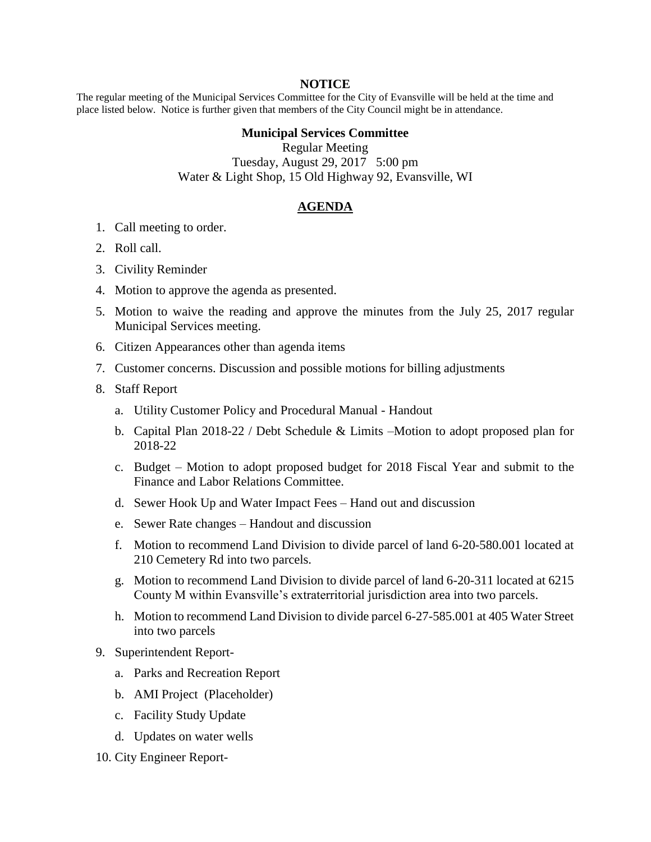## **NOTICE**

The regular meeting of the Municipal Services Committee for the City of Evansville will be held at the time and place listed below. Notice is further given that members of the City Council might be in attendance.

## **Municipal Services Committee**

Regular Meeting Tuesday, August 29, 2017 5:00 pm Water & Light Shop, 15 Old Highway 92, Evansville, WI

## **AGENDA**

- 1. Call meeting to order.
- 2. Roll call.
- 3. Civility Reminder
- 4. Motion to approve the agenda as presented.
- 5. Motion to waive the reading and approve the minutes from the July 25, 2017 regular Municipal Services meeting.
- 6. Citizen Appearances other than agenda items
- 7. Customer concerns. Discussion and possible motions for billing adjustments
- 8. Staff Report
	- a. Utility Customer Policy and Procedural Manual Handout
	- b. Capital Plan 2018-22 / Debt Schedule & Limits –Motion to adopt proposed plan for 2018-22
	- c. Budget Motion to adopt proposed budget for 2018 Fiscal Year and submit to the Finance and Labor Relations Committee.
	- d. Sewer Hook Up and Water Impact Fees Hand out and discussion
	- e. Sewer Rate changes Handout and discussion
	- f. Motion to recommend Land Division to divide parcel of land 6-20-580.001 located at 210 Cemetery Rd into two parcels.
	- g. Motion to recommend Land Division to divide parcel of land 6-20-311 located at 6215 County M within Evansville's extraterritorial jurisdiction area into two parcels.
	- h. Motion to recommend Land Division to divide parcel 6-27-585.001 at 405 Water Street into two parcels
- 9. Superintendent Report
	- a. Parks and Recreation Report
	- b. AMI Project (Placeholder)
	- c. Facility Study Update
	- d. Updates on water wells
- 10. City Engineer Report-